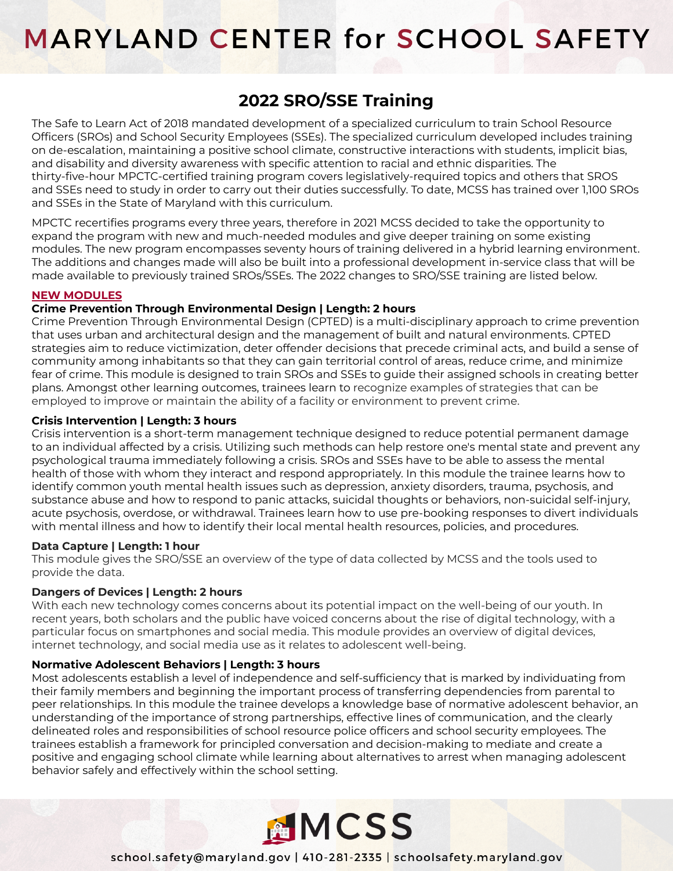# **MARYLAND CENTER for SCHOOL SAFETY**

# **2022 SRO/SSE Training**

The Safe to Learn Act of 2018 mandated development of a specialized curriculum to train School Resource Officers (SROs) and School Security Employees (SSEs). The specialized curriculum developed includes training on de-escalation, maintaining a positive school climate, constructive interactions with students, implicit bias, and disability and diversity awareness with specific attention to racial and ethnic disparities. The thirty-five-hour MPCTC-certified training program covers legislatively-required topics and others that SROS and SSEs need to study in order to carry out their duties successfully. To date, MCSS has trained over 1,100 SROs and SSEs in the State of Maryland with this curriculum.

MPCTC recertifies programs every three years, therefore in 2021 MCSS decided to take the opportunity to expand the program with new and much-needed modules and give deeper training on some existing modules. The new program encompasses seventy hours of training delivered in a hybrid learning environment. The additions and changes made will also be built into a professional development in-service class that will be made available to previously trained SROs/SSEs. The 2022 changes to SRO/SSE training are listed below.

# **NEW MODULES**

# **Crime Prevention Through Environmental Design | Length: 2 hours**

Crime Prevention Through Environmental Design (CPTED) is a multi-disciplinary approach to crime prevention that uses urban and architectural design and the management of built and natural environments. CPTED strategies aim to reduce victimization, deter offender decisions that precede criminal acts, and build a sense of community among inhabitants so that they can gain territorial control of areas, reduce crime, and minimize fear of crime. This module is designed to train SROs and SSEs to guide their assigned schools in creating better plans. Amongst other learning outcomes, trainees learn to recognize examples of strategies that can be employed to improve or maintain the ability of a facility or environment to prevent crime.

# **Crisis Intervention | Length: 3 hours**

Crisis intervention is a short-term management technique designed to reduce potential permanent damage to an individual affected by a crisis. Utilizing such methods can help restore one's mental state and prevent any psychological trauma immediately following a crisis. SROs and SSEs have to be able to assess the mental health of those with whom they interact and respond appropriately. In this module the trainee learns how to identify common youth mental health issues such as depression, anxiety disorders, trauma, psychosis, and substance abuse and how to respond to panic attacks, suicidal thoughts or behaviors, non-suicidal self-injury, acute psychosis, overdose, or withdrawal. Trainees learn how to use pre-booking responses to divert individuals with mental illness and how to identify their local mental health resources, policies, and procedures.

### **Data Capture | Length: 1 hour**

This module gives the SRO/SSE an overview of the type of data collected by MCSS and the tools used to provide the data.

# **Dangers of Devices | Length: 2 hours**

With each new technology comes concerns about its potential impact on the well-being of our youth. In recent years, both scholars and the public have voiced concerns about the rise of digital technology, with a particular focus on smartphones and social media. This module provides an overview of digital devices, internet technology, and social media use as it relates to adolescent well-being.

# **Normative Adolescent Behaviors | Length: 3 hours**

Most adolescents establish a level of independence and self-sufficiency that is marked by individuating from their family members and beginning the important process of transferring dependencies from parental to peer relationships. In this module the trainee develops a knowledge base of normative adolescent behavior, an understanding of the importance of strong partnerships, effective lines of communication, and the clearly delineated roles and responsibilities of school resource police officers and school security employees. The trainees establish a framework for principled conversation and decision-making to mediate and create a positive and engaging school climate while learning about alternatives to arrest when managing adolescent behavior safely and effectively within the school setting.



school.safety@maryland.gov | 410-281-2335 | schoolsafety.maryland.gov